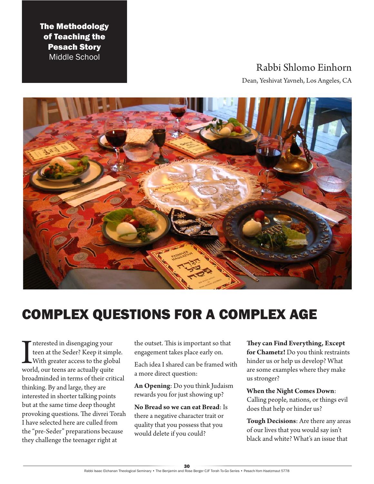The Methodology of Teaching the Pesach Story Middle School

# Rabbi Shlomo Einhorn

Dean, Yeshivat Yavneh, Los Angeles, CA



# COMPLEX QUESTIONS FOR A COMPLEX AGE

Interested in disengaging your<br>teen at the Seder? Keep it simp<br>With greater access to the glob<br>world, our teens are actually quite nterested in disengaging your teen at the Seder? Keep it simple. With greater access to the global broadminded in terms of their critical thinking. By and large, they are interested in shorter talking points but at the same time deep thought provoking questions. The divrei Torah I have selected here are culled from the "pre-Seder" preparations because they challenge the teenager right at

the outset. This is important so that engagement takes place early on.

Each idea I shared can be framed with a more direct question:

**An Opening**: Do you think Judaism rewards you for just showing up?

**No Bread so we can eat Bread**: Is there a negative character trait or quality that you possess that you would delete if you could?

**They can Find Everything, Except for Chametz!** Do you think restraints hinder us or help us develop? What are some examples where they make us stronger?

**When the Night Comes Down**: Calling people, nations, or things evil does that help or hinder us?

**Tough Decisions**: Are there any areas of our lives that you would say isn't black and white? What's an issue that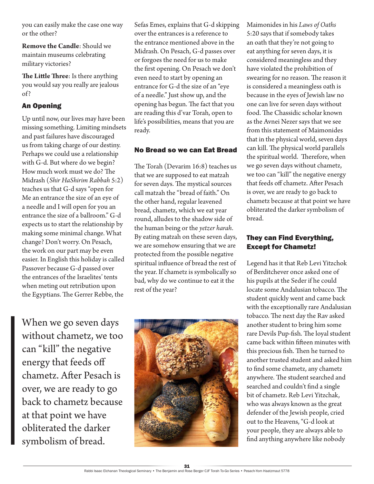you can easily make the case one way or the other?

**Remove the Candle**: Should we maintain museums celebrating military victories?

**The Little Three**: Is there anything you would say you really are jealous of?

# An Opening

Up until now, our lives may have been missing something. Limiting mindsets and past failures have discouraged us from taking charge of our destiny. Perhaps we could use a relationship with G-d. But where do we begin? How much work must we do? The Midrash (*Shir HaShirim Rabbah* 5:2) teaches us that G-d says "open for Me an entrance the size of an eye of a needle and I will open for you an entrance the size of a ballroom." G-d expects us to start the relationship by making some minimal change. What change? Don't worry. On Pesach, the work on our part may be even easier. In English this holiday is called Passover because G-d passed over the entrances of the Israelites' tents when meting out retribution upon the Egyptians. The Gerrer Rebbe, the

When we go seven days without chametz, we too can "kill" the negative energy that feeds off chametz. After Pesach is over, we are ready to go back to chametz because at that point we have obliterated the darker symbolism of bread.

Sefas Emes, explains that G-d skipping over the entrances is a reference to the entrance mentioned above in the Midrash. On Pesach, G-d passes over or forgoes the need for us to make the first opening. On Pesach we don't even need to start by opening an entrance for G-d the size of an "eye of a needle." Just show up, and the opening has begun. The fact that you are reading this d'var Torah, open to life's possibilities, means that you are ready.

## No Bread so we can Eat Bread

The Torah (Devarim 16:8) teaches us that we are supposed to eat matzah for seven days. The mystical sources call matzah the "bread of faith." On the other hand, regular leavened bread, chametz, which we eat year round, alludes to the shadow side of the human being or the *yetzer harah*. By eating matzah on these seven days, we are somehow ensuring that we are protected from the possible negative spiritual influence of bread the rest of the year. If chametz is symbolically so bad, why do we continue to eat it the rest of the year?



Maimonides in his *Laws of Oaths* 5:20 says that if somebody takes an oath that they're not going to eat anything for seven days, it is considered meaningless and they have violated the prohibition of swearing for no reason. The reason it is considered a meaningless oath is because in the eyes of Jewish law no one can live for seven days without food. The Chassidic scholar known as the Avnei Nezer says that we see from this statement of Maimonides that in the physical world, seven days can kill. The physical world parallels the spiritual world. Therefore, when we go seven days without chametz, we too can "kill" the negative energy that feeds off chametz. After Pesach is over, we are ready to go back to chametz because at that point we have obliterated the darker symbolism of bread.

# They can Find Everything, Except for Chametz!

Legend has it that Reb Levi Yitzchok of Berditchever once asked one of his pupils at the Seder if he could locate some Andalusian tobacco. The student quickly went and came back with the exceptionally rare Andalusian tobacco. The next day the Rav asked another student to bring him some rare Devils Pup-fish. The loyal student came back within fifteen minutes with this precious fish. Then he turned to another trusted student and asked him to find some chametz, any chametz anywhere. The student searched and searched and couldn't find a single bit of chametz. Reb Levi Yitzchak, who was always known as the great defender of the Jewish people, cried out to the Heavens, "G-d look at your people, they are always able to find anything anywhere like nobody